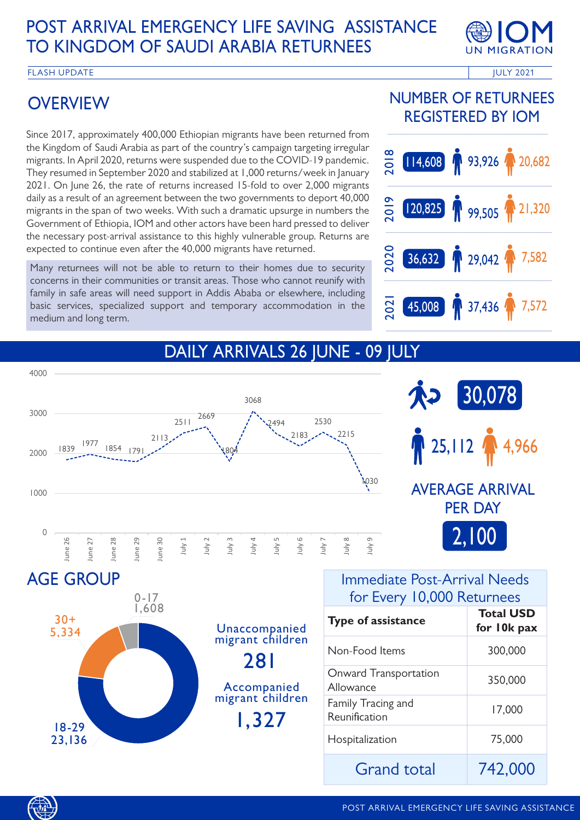### POST ARRIVAL EMERGENCY LIFE SAVING ASSISTANCE TO KINGDOM OF SAUDI ARABIA RETURNEES



FLASH UPDATE **Internal and the ULY 2021** The ULY 2021

## **OVERVIEW**

Since 2017, approximately 400,000 Ethiopian migrants have been returned from the Kingdom of Saudi Arabia as part of the country's campaign targeting irregular migrants. In April 2020, returns were suspended due to the COVID-19 pandemic. They resumed in September 2020 and stabilized at 1,000 returns/week in January 2021. On June 26, the rate of returns increased 15-fold to over 2,000 migrants daily as a result of an agreement between the two governments to deport 40,000 migrants in the span of two weeks. With such a dramatic upsurge in numbers the Government of Ethiopia, IOM and other actors have been hard pressed to deliver the necessary post-arrival assistance to this highly vulnerable group. Returns are expected to continue even after the 40,000 migrants have returned.

Many returnees will not be able to return to their homes due to security concerns in their communities or transit areas. Those who cannot reunify with family in safe areas will need support in Addis Ababa or elsewhere, including basic services, specialized support and temporary accommodation in the medium and long term.

### NUMBER OF RETURNEES REGISTERED BY IOM



### DAILY ARRIVALS 26 JUNE - 09 JULY





281 1,327 AGE GROUP 18-29 23,136 30+ 5,334  $0 - 17$  1,608 Unaccompanied migrant children Accompanied migrant children

#### Immediate Post-Arrival Needs for Every 10,000 Returnees

| <b>Type of assistance</b>           | <b>Total USD</b><br>for 10k pax |
|-------------------------------------|---------------------------------|
| Non-Food Items                      | 300,000                         |
| Onward Transportation<br>Allowance  | 350,000                         |
| Family Tracing and<br>Reunification | 17,000                          |
| Hospitalization                     | 75,000                          |
| <b>Grand total</b>                  | 742.000                         |